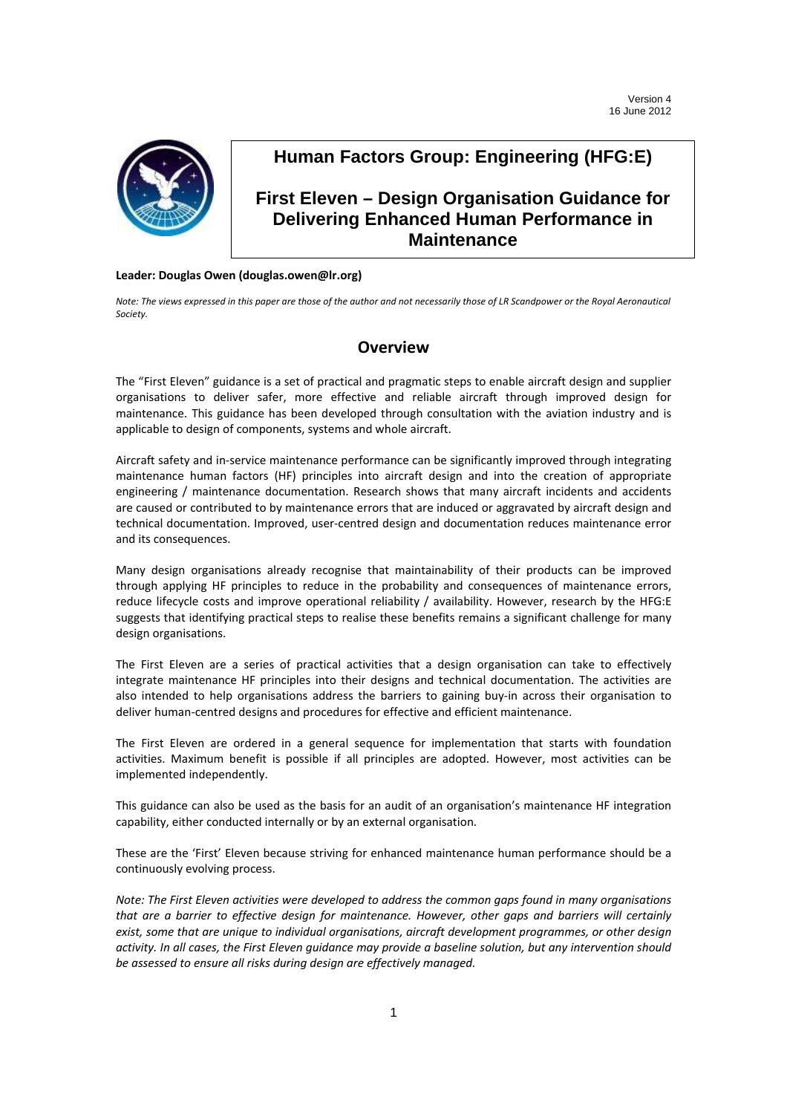

## **Human Factors Group: Engineering (HFG:E)**

## **First Eleven – Design Organisation Guidance for Delivering Enhanced Human Performance in Maintenance**

## **Leader: Douglas Owen (douglas.owen@lr.org)**

Note: The views expressed in this paper are those of the author and not necessarily those of LR Scandpower or the Royal Aeronautical *Society.*

## **Overview**

The "First Eleven" guidance is a set of practical and pragmatic steps to enable aircraft design and supplier organisations to deliver safer, more effective and reliable aircraft through improved design for maintenance. This guidance has been developed through consultation with the aviation industry and is applicable to design of components, systems and whole aircraft.

Aircraft safety and in‐service maintenance performance can be significantly improved through integrating maintenance human factors (HF) principles into aircraft design and into the creation of appropriate engineering / maintenance documentation. Research shows that many aircraft incidents and accidents are caused or contributed to by maintenance errors that are induced or aggravated by aircraft design and technical documentation. Improved, user‐centred design and documentation reduces maintenance error and its consequences.

Many design organisations already recognise that maintainability of their products can be improved through applying HF principles to reduce in the probability and consequences of maintenance errors, reduce lifecycle costs and improve operational reliability / availability. However, research by the HFG:E suggests that identifying practical steps to realise these benefits remains a significant challenge for many design organisations.

The First Eleven are a series of practical activities that a design organisation can take to effectively integrate maintenance HF principles into their designs and technical documentation. The activities are also intended to help organisations address the barriers to gaining buy-in across their organisation to deliver human‐centred designs and procedures for effective and efficient maintenance.

The First Eleven are ordered in a general sequence for implementation that starts with foundation activities. Maximum benefit is possible if all principles are adopted. However, most activities can be implemented independently.

This guidance can also be used as the basis for an audit of an organisation's maintenance HF integration capability, either conducted internally or by an external organisation.

These are the 'First' Eleven because striving for enhanced maintenance human performance should be a continuously evolving process.

*Note: The First Eleven activities were developed to address the common gaps found in many organisations that are a barrier to effective design for maintenance. However, other gaps and barriers will certainly exist, some that are unique to individual organisations, aircraft development programmes, or other design* activity. In all cases, the First Eleven guidance may provide a baseline solution, but any intervention should *be assessed to ensure all risks during design are effectively managed.*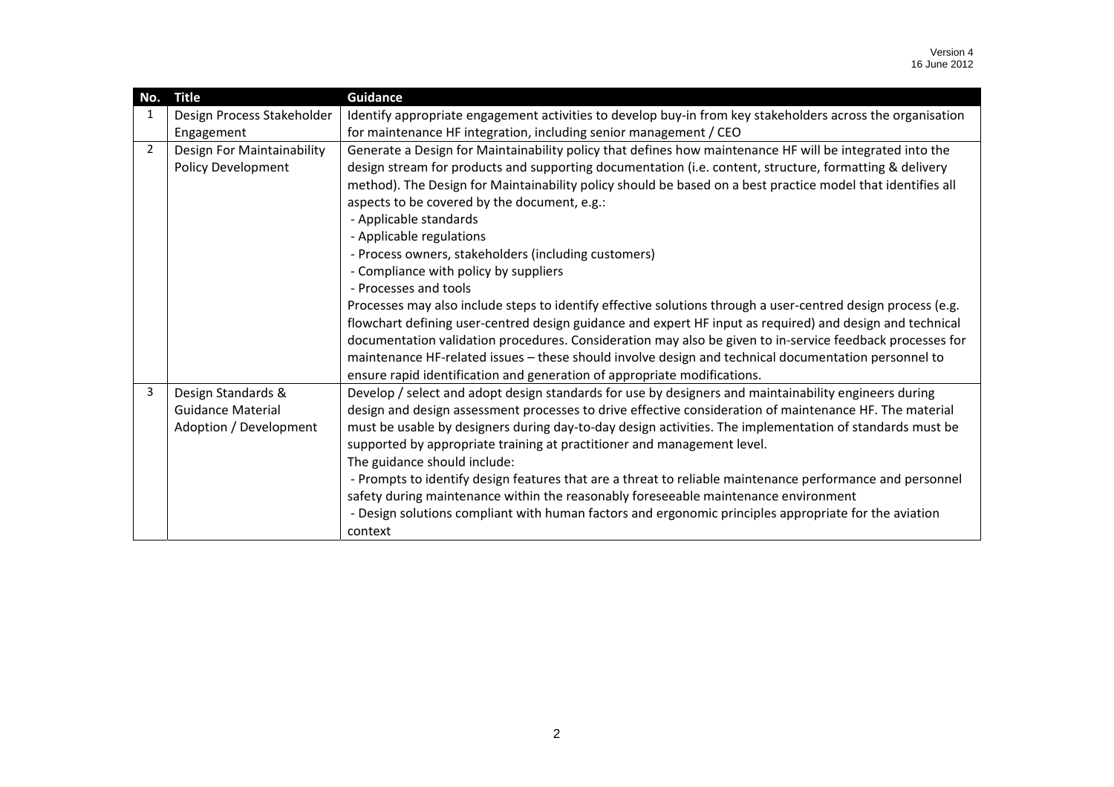| No.            | <b>Title</b>               | <b>Guidance</b>                                                                                                                                                                                                           |
|----------------|----------------------------|---------------------------------------------------------------------------------------------------------------------------------------------------------------------------------------------------------------------------|
| 1              | Design Process Stakeholder | Identify appropriate engagement activities to develop buy-in from key stakeholders across the organisation                                                                                                                |
|                | Engagement                 | for maintenance HF integration, including senior management / CEO                                                                                                                                                         |
| $\overline{2}$ | Design For Maintainability | Generate a Design for Maintainability policy that defines how maintenance HF will be integrated into the                                                                                                                  |
|                | Policy Development         | design stream for products and supporting documentation (i.e. content, structure, formatting & delivery                                                                                                                   |
|                |                            | method). The Design for Maintainability policy should be based on a best practice model that identifies all                                                                                                               |
|                |                            | aspects to be covered by the document, e.g.:                                                                                                                                                                              |
|                |                            | - Applicable standards                                                                                                                                                                                                    |
|                |                            | - Applicable regulations                                                                                                                                                                                                  |
|                |                            | - Process owners, stakeholders (including customers)                                                                                                                                                                      |
|                |                            | - Compliance with policy by suppliers                                                                                                                                                                                     |
|                |                            | - Processes and tools                                                                                                                                                                                                     |
|                |                            | Processes may also include steps to identify effective solutions through a user-centred design process (e.g.<br>flowchart defining user-centred design guidance and expert HF input as required) and design and technical |
|                |                            | documentation validation procedures. Consideration may also be given to in-service feedback processes for                                                                                                                 |
|                |                            | maintenance HF-related issues - these should involve design and technical documentation personnel to                                                                                                                      |
|                |                            | ensure rapid identification and generation of appropriate modifications.                                                                                                                                                  |
| 3              | Design Standards &         | Develop / select and adopt design standards for use by designers and maintainability engineers during                                                                                                                     |
|                | <b>Guidance Material</b>   | design and design assessment processes to drive effective consideration of maintenance HF. The material                                                                                                                   |
|                | Adoption / Development     | must be usable by designers during day-to-day design activities. The implementation of standards must be                                                                                                                  |
|                |                            | supported by appropriate training at practitioner and management level.                                                                                                                                                   |
|                |                            | The guidance should include:                                                                                                                                                                                              |
|                |                            | - Prompts to identify design features that are a threat to reliable maintenance performance and personnel                                                                                                                 |
|                |                            | safety during maintenance within the reasonably foreseeable maintenance environment                                                                                                                                       |
|                |                            | - Design solutions compliant with human factors and ergonomic principles appropriate for the aviation                                                                                                                     |
|                |                            | context                                                                                                                                                                                                                   |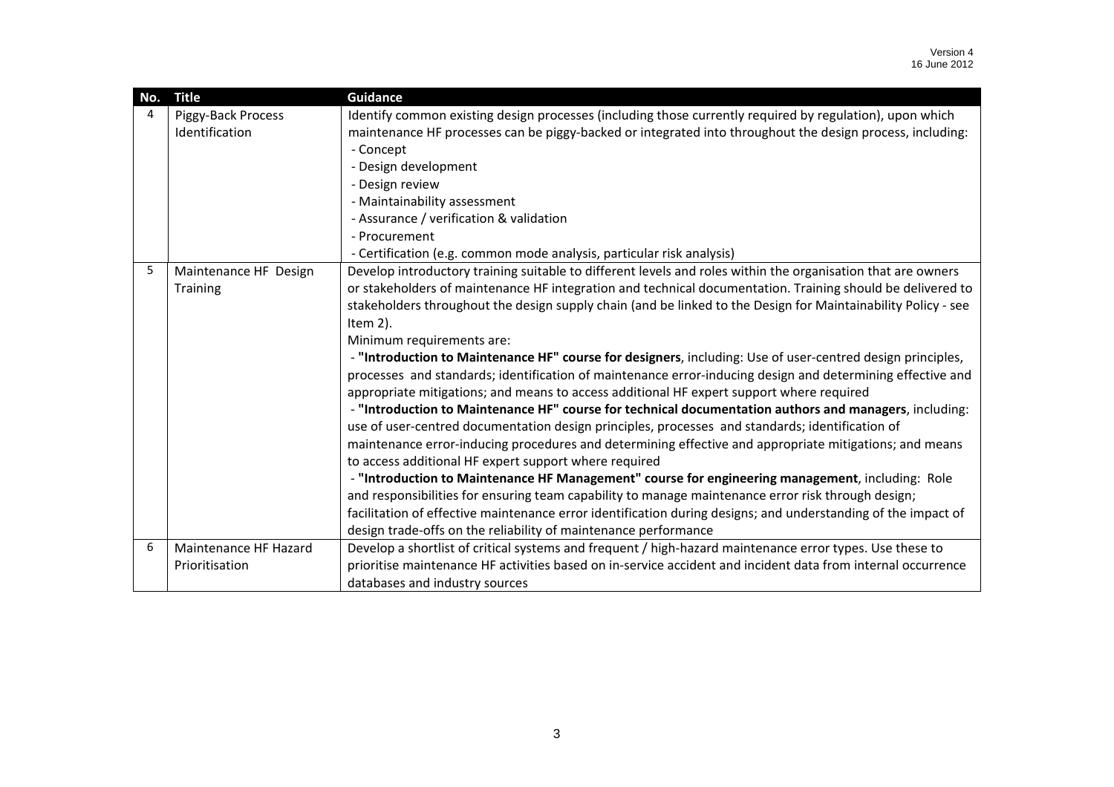| No. | <b>Title</b>          | <b>Guidance</b>                                                                                               |
|-----|-----------------------|---------------------------------------------------------------------------------------------------------------|
| 4   | Piggy-Back Process    | Identify common existing design processes (including those currently required by regulation), upon which      |
|     | Identification        | maintenance HF processes can be piggy-backed or integrated into throughout the design process, including:     |
|     |                       | - Concept                                                                                                     |
|     |                       | - Design development                                                                                          |
|     |                       | - Design review                                                                                               |
|     |                       | - Maintainability assessment                                                                                  |
|     |                       | - Assurance / verification & validation                                                                       |
|     |                       | - Procurement                                                                                                 |
|     |                       | - Certification (e.g. common mode analysis, particular risk analysis)                                         |
| 5   | Maintenance HF Design | Develop introductory training suitable to different levels and roles within the organisation that are owners  |
|     | Training              | or stakeholders of maintenance HF integration and technical documentation. Training should be delivered to    |
|     |                       | stakeholders throughout the design supply chain (and be linked to the Design for Maintainability Policy - see |
|     |                       | Item 2).                                                                                                      |
|     |                       | Minimum requirements are:                                                                                     |
|     |                       | - "Introduction to Maintenance HF" course for designers, including: Use of user-centred design principles,    |
|     |                       | processes and standards; identification of maintenance error-inducing design and determining effective and    |
|     |                       | appropriate mitigations; and means to access additional HF expert support where required                      |
|     |                       | - "Introduction to Maintenance HF" course for technical documentation authors and managers, including:        |
|     |                       | use of user-centred documentation design principles, processes and standards; identification of               |
|     |                       | maintenance error-inducing procedures and determining effective and appropriate mitigations; and means        |
|     |                       | to access additional HF expert support where required                                                         |
|     |                       | - "Introduction to Maintenance HF Management" course for engineering management, including: Role              |
|     |                       | and responsibilities for ensuring team capability to manage maintenance error risk through design;            |
|     |                       | facilitation of effective maintenance error identification during designs; and understanding of the impact of |
|     |                       | design trade-offs on the reliability of maintenance performance                                               |
| 6   | Maintenance HF Hazard | Develop a shortlist of critical systems and frequent / high-hazard maintenance error types. Use these to      |
|     | Prioritisation        | prioritise maintenance HF activities based on in-service accident and incident data from internal occurrence  |
|     |                       | databases and industry sources                                                                                |